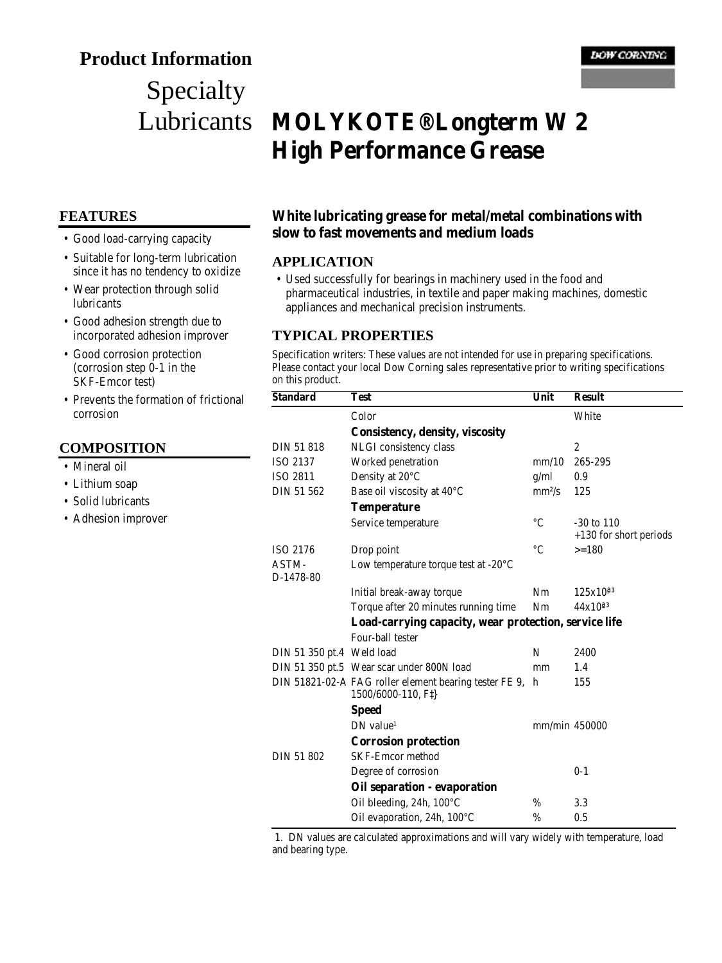# **Product Information**

# Specialty Lubricants

#### **FEATURES**

- Good load-carrying capacity
- Suitable for long-term lubrication since it has no tendency to oxidize
- Wear protection through solid lubricants
- Good adhesion strength due to incorporated adhesion improver
- Good corrosion protection (corrosion step 0-1 in the SKF-Emcor test)
- Prevents the formation of frictional corrosion

#### **COMPOSITION**

- Mineral oil
- Lithium soap
- Solid lubricants
- Adhesion improver

# **MOLYKOTE® Longterm W 2 High Performance Grease**

#### **White lubricating grease for metal/metal combinations with slow to fast movements and medium loads**

#### **APPLICATION**

• Used successfully for bearings in machinery used in the food and pharmaceutical industries, in textile and paper making machines, domestic appliances and mechanical precision instruments.

#### **TYPICAL PROPERTIES**

Specification writers: These values are not intended for use in preparing specifications. Please contact your local Dow Corning sales representative prior to writing specifications on this product.

| <b>Standard</b>           | <b>Test</b>                                                                   | Unit            | <b>Result</b>          |
|---------------------------|-------------------------------------------------------------------------------|-----------------|------------------------|
|                           | Color                                                                         |                 | White                  |
|                           | <b>Consistency, density, viscosity</b>                                        |                 |                        |
| DIN 51 818                | NLGI consistency class                                                        |                 | $\boldsymbol{2}$       |
| ISO 2137                  | Worked penetration                                                            | mm/10           | 265-295                |
| ISO 2811                  | Density at 20°C                                                               | g/ml            | 0.9                    |
| DIN 51 562                | Base oil viscosity at 40°C                                                    | $mm^2/s$        | 125                    |
|                           | <b>Temperature</b>                                                            |                 |                        |
|                           | Service temperature                                                           | $\rm ^{\circ}C$ | $-30$ to $110$         |
|                           |                                                                               |                 | +130 for short periods |
| ISO 2176                  | Drop point                                                                    | $^{\circ}C$     | $>=180$                |
| ASTM-<br>D-1478-80        | Low temperature torque test at $-20^{\circ}$ C                                |                 |                        |
|                           | Initial break-away torque                                                     | Nm              | $125x10^{a_3}$         |
|                           | Torque after 20 minutes running time                                          | Nm              | $44x10^{a}$            |
|                           | Load-carrying capacity, wear protection, service life                         |                 |                        |
|                           | Four-ball tester                                                              |                 |                        |
| DIN 51 350 pt.4 Weld load |                                                                               | N               | 2400                   |
|                           | DIN 51 350 pt.5 Wear scar under 800N load                                     | mm              | 1.4                    |
|                           | DIN 51821-02-A FAG roller element bearing tester FE 9,<br>1500/6000-110, F\\] | h               | 155                    |
|                           | <b>Speed</b>                                                                  |                 |                        |
|                           | $DN$ value <sup>1</sup>                                                       | mm/min 450000   |                        |
|                           | <b>Corrosion protection</b>                                                   |                 |                        |
| DIN 51 802                | <b>SKF-Emcor method</b>                                                       |                 |                        |
|                           | Degree of corrosion                                                           |                 | $0 - 1$                |
|                           | Oil separation - evaporation                                                  |                 |                        |
|                           | Oil bleeding, 24h, 100°C                                                      | $\%$            | 3.3                    |
|                           | Oil evaporation, 24h, 100°C                                                   | %               | 0.5                    |

 1. DN values are calculated approximations and will vary widely with temperature, load and bearing type.

and a